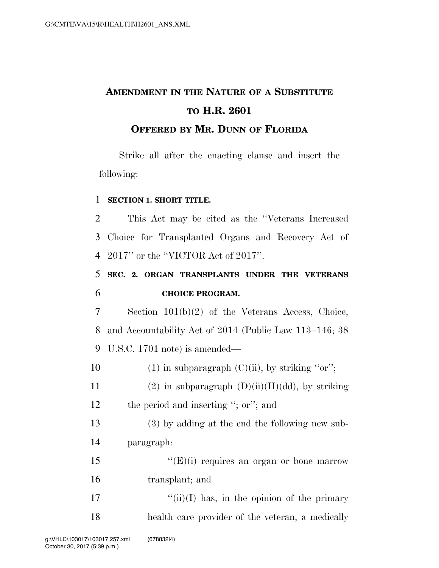## **AMENDMENT IN THE NATURE OF A SUBSTITUTE TO H.R. 2601**

## **OFFERED BY MR. DUNN OF FLORIDA**

Strike all after the enacting clause and insert the following:

## 1 **SECTION 1. SHORT TITLE.**

2 This Act may be cited as the ''Veterans Increased 3 Choice for Transplanted Organs and Recovery Act of 4 2017'' or the ''VICTOR Act of 2017''.

5 **SEC. 2. ORGAN TRANSPLANTS UNDER THE VETERANS**  6 **CHOICE PROGRAM.** 

7 Section 101(b)(2) of the Veterans Access, Choice, 8 and Accountability Act of 2014 (Public Law 113–146; 38 9 U.S.C. 1701 note) is amended—

10 (1) in subparagraph  $(C)(ii)$ , by striking "or"; 11 (2) in subparagraph  $(D)(ii)(II)(dd)$ , by striking 12 the period and inserting "; or"; and

13 (3) by adding at the end the following new sub-14 paragraph:

15  $"({\rm E})$ (i) requires an organ or bone marrow 16 transplant; and

17  $\frac{17}{10}$  ''(ii)(I) has, in the opinion of the primary 18 health care provider of the veteran, a medically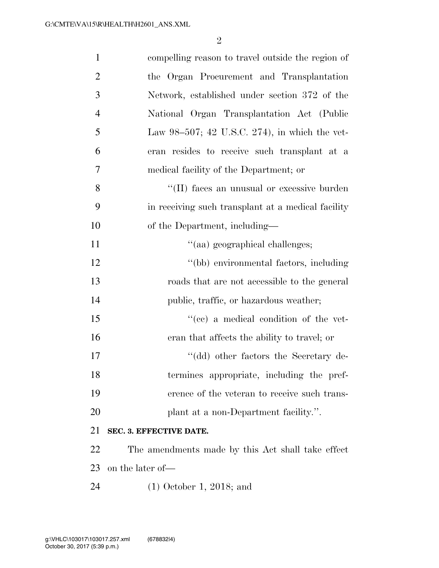| $\mathbf{1}$   | compelling reason to travel outside the region of  |
|----------------|----------------------------------------------------|
| $\overline{2}$ | the Organ Procurement and Transplantation          |
| 3              | Network, established under section 372 of the      |
| $\overline{4}$ | National Organ Transplantation Act (Public         |
| 5              | Law 98-507; 42 U.S.C. 274), in which the vet-      |
| 6              | eran resides to receive such transplant at a       |
| 7              | medical facility of the Department; or             |
| 8              | "(II) faces an unusual or excessive burden         |
| 9              | in receiving such transplant at a medical facility |
| 10             | of the Department, including—                      |
| 11             | "(aa) geographical challenges;                     |
| 12             | "(bb) environmental factors, including             |
| 13             | roads that are not accessible to the general       |
| 14             | public, traffic, or hazardous weather;             |
| 15             | "(cc) a medical condition of the vet-              |
| 16             | eran that affects the ability to travel; or        |
| 17             | "(dd) other factors the Secretary de-              |
| 18             | termines appropriate, including the pref-          |
| 19             | erence of the veteran to receive such trans-       |
| 20             | plant at a non-Department facility.".              |
| 21             | SEC. 3. EFFECTIVE DATE.                            |
| 22             | The amendments made by this Act shall take effect  |
| 23             | on the later of-                                   |
| 24             | $(1)$ October 1, 2018; and                         |